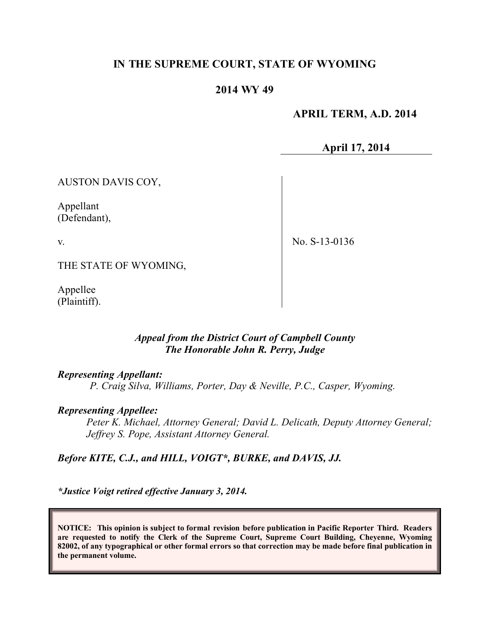# **IN THE SUPREME COURT, STATE OF WYOMING**

## **2014 WY 49**

 **APRIL TERM, A.D. 2014**

**April 17, 2014**

AUSTON DAVIS COY,

Appellant (Defendant),

v.

No. S-13-0136

THE STATE OF WYOMING,

Appellee (Plaintiff).

## *Appeal from the District Court of Campbell County The Honorable John R. Perry, Judge*

#### *Representing Appellant:*

*P. Craig Silva, Williams, Porter, Day & Neville, P.C., Casper, Wyoming.*

## *Representing Appellee:*

*Peter K. Michael, Attorney General; David L. Delicath, Deputy Attorney General; Jeffrey S. Pope, Assistant Attorney General.*

*Before KITE, C.J., and HILL, VOIGT\*, BURKE, and DAVIS, JJ.*

*\*Justice Voigt retired effective January 3, 2014.*

**NOTICE: This opinion is subject to formal revision before publication in Pacific Reporter Third. Readers are requested to notify the Clerk of the Supreme Court, Supreme Court Building, Cheyenne, Wyoming 82002, of any typographical or other formal errors so that correction may be made before final publication in the permanent volume.**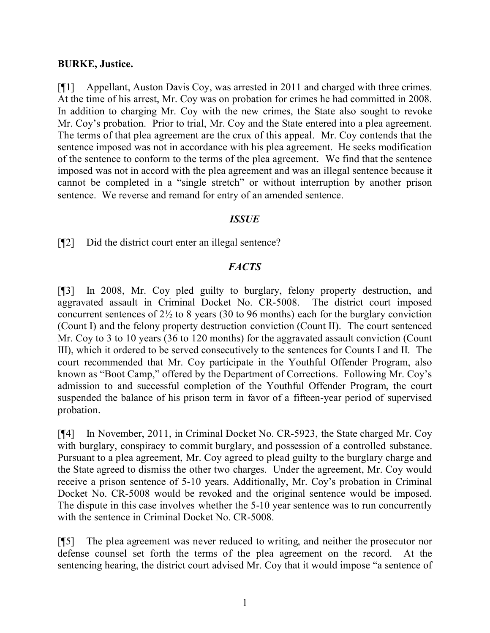### **BURKE, Justice.**

[¶1] Appellant, Auston Davis Coy, was arrested in 2011 and charged with three crimes. At the time of his arrest, Mr. Coy was on probation for crimes he had committed in 2008. In addition to charging Mr. Coy with the new crimes, the State also sought to revoke Mr. Coy's probation. Prior to trial, Mr. Coy and the State entered into a plea agreement. The terms of that plea agreement are the crux of this appeal. Mr. Coy contends that the sentence imposed was not in accordance with his plea agreement. He seeks modification of the sentence to conform to the terms of the plea agreement. We find that the sentence imposed was not in accord with the plea agreement and was an illegal sentence because it cannot be completed in a "single stretch" or without interruption by another prison sentence. We reverse and remand for entry of an amended sentence.

## *ISSUE*

[¶2] Did the district court enter an illegal sentence?

## *FACTS*

[¶3] In 2008, Mr. Coy pled guilty to burglary, felony property destruction, and aggravated assault in Criminal Docket No. CR-5008. The district court imposed concurrent sentences of 2½ to 8 years (30 to 96 months) each for the burglary conviction (Count I) and the felony property destruction conviction (Count II). The court sentenced Mr. Coy to 3 to 10 years (36 to 120 months) for the aggravated assault conviction (Count III), which it ordered to be served consecutively to the sentences for Counts I and II. The court recommended that Mr. Coy participate in the Youthful Offender Program, also known as "Boot Camp," offered by the Department of Corrections. Following Mr. Coy's admission to and successful completion of the Youthful Offender Program, the court suspended the balance of his prison term in favor of a fifteen-year period of supervised probation.

[¶4] In November, 2011, in Criminal Docket No. CR-5923, the State charged Mr. Coy with burglary, conspiracy to commit burglary, and possession of a controlled substance. Pursuant to a plea agreement, Mr. Coy agreed to plead guilty to the burglary charge and the State agreed to dismiss the other two charges. Under the agreement, Mr. Coy would receive a prison sentence of 5-10 years. Additionally, Mr. Coy's probation in Criminal Docket No. CR-5008 would be revoked and the original sentence would be imposed. The dispute in this case involves whether the 5-10 year sentence was to run concurrently with the sentence in Criminal Docket No. CR-5008.

[¶5] The plea agreement was never reduced to writing, and neither the prosecutor nor defense counsel set forth the terms of the plea agreement on the record. At the sentencing hearing, the district court advised Mr. Coy that it would impose "a sentence of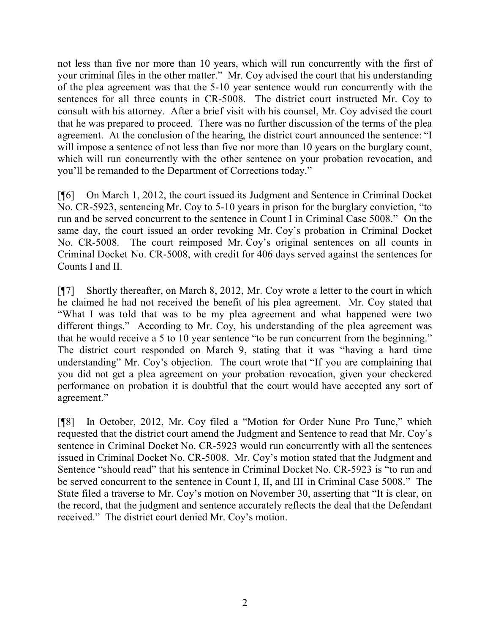not less than five nor more than 10 years, which will run concurrently with the first of your criminal files in the other matter." Mr. Coy advised the court that his understanding of the plea agreement was that the 5-10 year sentence would run concurrently with the sentences for all three counts in CR-5008. The district court instructed Mr. Coy to consult with his attorney. After a brief visit with his counsel, Mr. Coy advised the court that he was prepared to proceed. There was no further discussion of the terms of the plea agreement. At the conclusion of the hearing, the district court announced the sentence: "I will impose a sentence of not less than five nor more than 10 years on the burglary count, which will run concurrently with the other sentence on your probation revocation, and you'll be remanded to the Department of Corrections today."

[¶6] On March 1, 2012, the court issued its Judgment and Sentence in Criminal Docket No. CR-5923, sentencing Mr. Coy to 5-10 years in prison for the burglary conviction, "to run and be served concurrent to the sentence in Count I in Criminal Case 5008." On the same day, the court issued an order revoking Mr. Coy's probation in Criminal Docket No. CR-5008. The court reimposed Mr. Coy's original sentences on all counts in Criminal Docket No. CR-5008, with credit for 406 days served against the sentences for Counts I and II.

[¶7] Shortly thereafter, on March 8, 2012, Mr. Coy wrote a letter to the court in which he claimed he had not received the benefit of his plea agreement. Mr. Coy stated that "What I was told that was to be my plea agreement and what happened were two different things." According to Mr. Coy, his understanding of the plea agreement was that he would receive a 5 to 10 year sentence "to be run concurrent from the beginning." The district court responded on March 9, stating that it was "having a hard time understanding" Mr. Coy's objection. The court wrote that "If you are complaining that you did not get a plea agreement on your probation revocation, given your checkered performance on probation it is doubtful that the court would have accepted any sort of agreement."

[¶8] In October, 2012, Mr. Coy filed a "Motion for Order Nunc Pro Tunc," which requested that the district court amend the Judgment and Sentence to read that Mr. Coy's sentence in Criminal Docket No. CR-5923 would run concurrently with all the sentences issued in Criminal Docket No. CR-5008. Mr. Coy's motion stated that the Judgment and Sentence "should read" that his sentence in Criminal Docket No. CR-5923 is "to run and be served concurrent to the sentence in Count I, II, and III in Criminal Case 5008." The State filed a traverse to Mr. Coy's motion on November 30, asserting that "It is clear, on the record, that the judgment and sentence accurately reflects the deal that the Defendant received." The district court denied Mr. Coy's motion.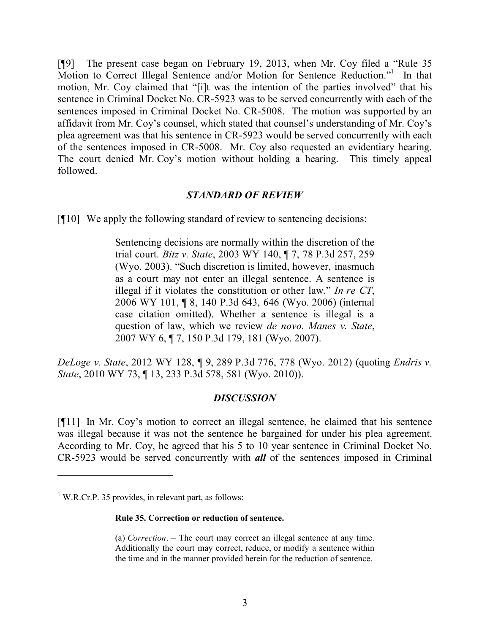[¶9] The present case began on February 19, 2013, when Mr. Coy filed a "Rule 35 Motion to Correct Illegal Sentence and/or Motion for Sentence Reduction."<sup>1</sup> In that motion, Mr. Coy claimed that "[i]t was the intention of the parties involved" that his sentence in Criminal Docket No. CR-5923 was to be served concurrently with each of the sentences imposed in Criminal Docket No. CR-5008. The motion was supported by an affidavit from Mr. Coy's counsel, which stated that counsel's understanding of Mr. Coy's plea agreement was that his sentence in CR-5923 would be served concurrently with each of the sentences imposed in CR-5008. Mr. Coy also requested an evidentiary hearing. The court denied Mr. Coy's motion without holding a hearing. This timely appeal followed.

## *STANDARD OF REVIEW*

[¶10] We apply the following standard of review to sentencing decisions:

Sentencing decisions are normally within the discretion of the trial court. *Bitz v. State*, 2003 WY 140, ¶ 7, 78 P.3d 257, 259 (Wyo. 2003). "Such discretion is limited, however, inasmuch as a court may not enter an illegal sentence. A sentence is illegal if it violates the constitution or other law." *In re CT*, 2006 WY 101, ¶ 8, 140 P.3d 643, 646 (Wyo. 2006) (internal case citation omitted). Whether a sentence is illegal is a question of law, which we review *de novo*. *Manes v. State*, 2007 WY 6, ¶ 7, 150 P.3d 179, 181 (Wyo. 2007).

*DeLoge v. State*, 2012 WY 128, ¶ 9, 289 P.3d 776, 778 (Wyo. 2012) (quoting *Endris v. State*, 2010 WY 73, ¶ 13, 233 P.3d 578, 581 (Wyo. 2010)).

#### *DISCUSSION*

[¶11] In Mr. Coy's motion to correct an illegal sentence, he claimed that his sentence was illegal because it was not the sentence he bargained for under his plea agreement. According to Mr. Coy, he agreed that his 5 to 10 year sentence in Criminal Docket No. CR-5923 would be served concurrently with *all* of the sentences imposed in Criminal

 $\overline{a}$ 

#### **Rule 35. Correction or reduction of sentence.**

(a) *Correction*. – The court may correct an illegal sentence at any time. Additionally the court may correct, reduce, or modify a sentence within the time and in the manner provided herein for the reduction of sentence.

 $1$  W.R.Cr.P. 35 provides, in relevant part, as follows: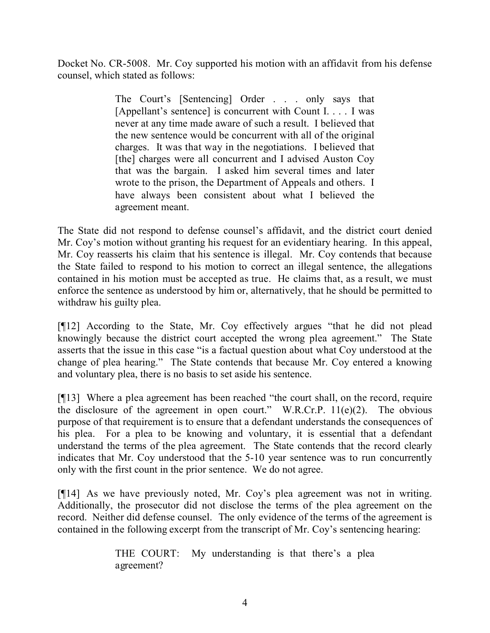Docket No. CR-5008. Mr. Coy supported his motion with an affidavit from his defense counsel, which stated as follows:

> The Court's [Sentencing] Order . . . only says that [Appellant's sentence] is concurrent with Count I. . . . I was never at any time made aware of such a result. I believed that the new sentence would be concurrent with all of the original charges. It was that way in the negotiations. I believed that [the] charges were all concurrent and I advised Auston Coy that was the bargain. I asked him several times and later wrote to the prison, the Department of Appeals and others. I have always been consistent about what I believed the agreement meant.

The State did not respond to defense counsel's affidavit, and the district court denied Mr. Coy's motion without granting his request for an evidentiary hearing. In this appeal, Mr. Coy reasserts his claim that his sentence is illegal. Mr. Coy contends that because the State failed to respond to his motion to correct an illegal sentence, the allegations contained in his motion must be accepted as true. He claims that, as a result, we must enforce the sentence as understood by him or, alternatively, that he should be permitted to withdraw his guilty plea.

[¶12] According to the State, Mr. Coy effectively argues "that he did not plead knowingly because the district court accepted the wrong plea agreement." The State asserts that the issue in this case "is a factual question about what Coy understood at the change of plea hearing." The State contends that because Mr. Coy entered a knowing and voluntary plea, there is no basis to set aside his sentence.

[¶13] Where a plea agreement has been reached "the court shall, on the record, require the disclosure of the agreement in open court." W.R.Cr.P.  $11(e)(2)$ . The obvious purpose of that requirement is to ensure that a defendant understands the consequences of his plea. For a plea to be knowing and voluntary, it is essential that a defendant understand the terms of the plea agreement. The State contends that the record clearly indicates that Mr. Coy understood that the 5-10 year sentence was to run concurrently only with the first count in the prior sentence. We do not agree.

[¶14] As we have previously noted, Mr. Coy's plea agreement was not in writing. Additionally, the prosecutor did not disclose the terms of the plea agreement on the record. Neither did defense counsel. The only evidence of the terms of the agreement is contained in the following excerpt from the transcript of Mr. Coy's sentencing hearing:

> THE COURT: My understanding is that there's a plea agreement?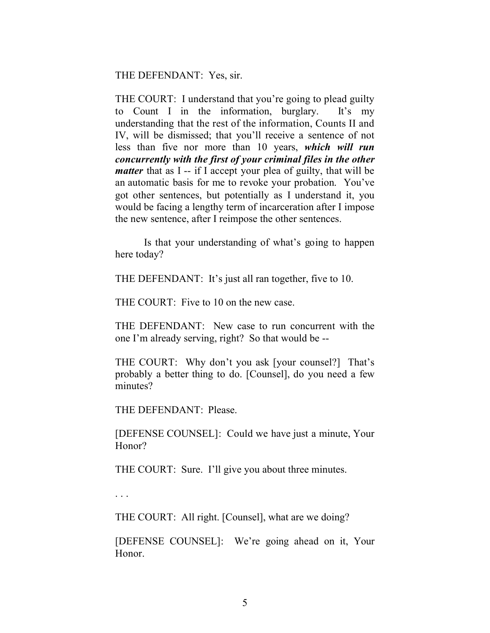THE DEFENDANT: Yes, sir.

THE COURT: I understand that you're going to plead guilty to Count I in the information, burglary. It's my understanding that the rest of the information, Counts II and IV, will be dismissed; that you'll receive a sentence of not less than five nor more than 10 years, *which will run concurrently with the first of your criminal files in the other matter* that as I -- if I accept your plea of guilty, that will be an automatic basis for me to revoke your probation. You've got other sentences, but potentially as I understand it, you would be facing a lengthy term of incarceration after I impose the new sentence, after I reimpose the other sentences.

Is that your understanding of what's going to happen here today?

THE DEFENDANT: It's just all ran together, five to 10.

THE COURT: Five to 10 on the new case.

THE DEFENDANT: New case to run concurrent with the one I'm already serving, right? So that would be --

THE COURT: Why don't you ask [your counsel?] That's probably a better thing to do. [Counsel], do you need a few minutes?

THE DEFENDANT: Please.

[DEFENSE COUNSEL]: Could we have just a minute, Your Honor?

THE COURT: Sure. I'll give you about three minutes.

. . .

THE COURT: All right. [Counsel], what are we doing?

[DEFENSE COUNSEL]: We're going ahead on it, Your Honor.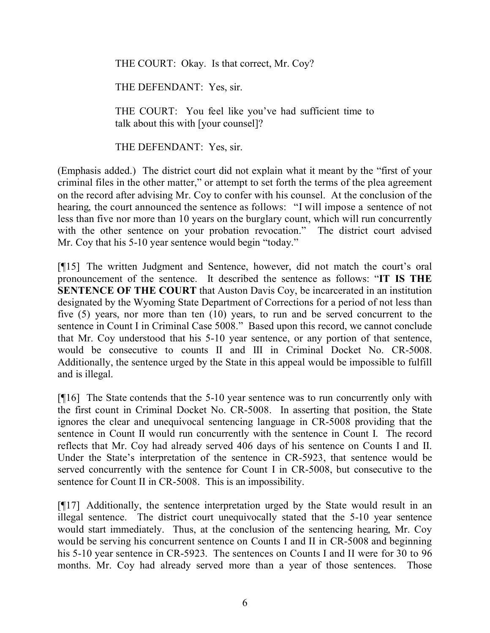THE COURT: Okay. Is that correct, Mr. Coy?

THE DEFENDANT: Yes, sir.

THE COURT: You feel like you've had sufficient time to talk about this with [your counsel]?

THE DEFENDANT: Yes, sir.

(Emphasis added.) The district court did not explain what it meant by the "first of your criminal files in the other matter," or attempt to set forth the terms of the plea agreement on the record after advising Mr. Coy to confer with his counsel. At the conclusion of the hearing, the court announced the sentence as follows: "I will impose a sentence of not less than five nor more than 10 years on the burglary count, which will run concurrently with the other sentence on your probation revocation." The district court advised Mr. Coy that his 5-10 year sentence would begin "today."

[¶15] The written Judgment and Sentence, however, did not match the court's oral pronouncement of the sentence. It described the sentence as follows: "**IT IS THE SENTENCE OF THE COURT** that Auston Davis Coy, be incarcerated in an institution designated by the Wyoming State Department of Corrections for a period of not less than five (5) years, nor more than ten (10) years, to run and be served concurrent to the sentence in Count I in Criminal Case 5008." Based upon this record, we cannot conclude that Mr. Coy understood that his 5-10 year sentence, or any portion of that sentence, would be consecutive to counts II and III in Criminal Docket No. CR-5008. Additionally, the sentence urged by the State in this appeal would be impossible to fulfill and is illegal.

[¶16] The State contends that the 5-10 year sentence was to run concurrently only with the first count in Criminal Docket No. CR-5008. In asserting that position, the State ignores the clear and unequivocal sentencing language in CR-5008 providing that the sentence in Count II would run concurrently with the sentence in Count I. The record reflects that Mr. Coy had already served 406 days of his sentence on Counts I and II. Under the State's interpretation of the sentence in CR-5923, that sentence would be served concurrently with the sentence for Count I in CR-5008, but consecutive to the sentence for Count II in CR-5008. This is an impossibility.

[¶17] Additionally, the sentence interpretation urged by the State would result in an illegal sentence. The district court unequivocally stated that the 5-10 year sentence would start immediately. Thus, at the conclusion of the sentencing hearing, Mr. Coy would be serving his concurrent sentence on Counts I and II in CR-5008 and beginning his 5-10 year sentence in CR-5923. The sentences on Counts I and II were for 30 to 96 months. Mr. Coy had already served more than a year of those sentences. Those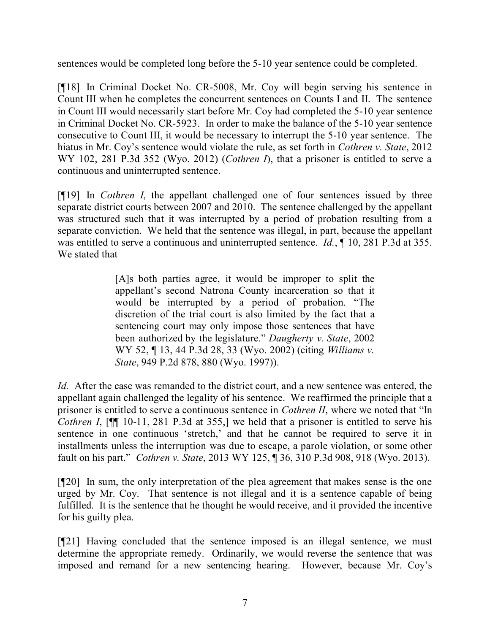sentences would be completed long before the 5-10 year sentence could be completed.

[¶18] In Criminal Docket No. CR-5008, Mr. Coy will begin serving his sentence in Count III when he completes the concurrent sentences on Counts I and II. The sentence in Count III would necessarily start before Mr. Coy had completed the 5-10 year sentence in Criminal Docket No. CR-5923. In order to make the balance of the 5-10 year sentence consecutive to Count III, it would be necessary to interrupt the 5-10 year sentence. The hiatus in Mr. Coy's sentence would violate the rule, as set forth in *Cothren v. State*, 2012 WY 102, 281 P.3d 352 (Wyo. 2012) (*Cothren I*), that a prisoner is entitled to serve a continuous and uninterrupted sentence.

[¶19] In *Cothren I*, the appellant challenged one of four sentences issued by three separate district courts between 2007 and 2010. The sentence challenged by the appellant was structured such that it was interrupted by a period of probation resulting from a separate conviction. We held that the sentence was illegal, in part, because the appellant was entitled to serve a continuous and uninterrupted sentence. *Id.*, ¶ 10, 281 P.3d at 355. We stated that

> [A]s both parties agree, it would be improper to split the appellant's second Natrona County incarceration so that it would be interrupted by a period of probation. "The discretion of the trial court is also limited by the fact that a sentencing court may only impose those sentences that have been authorized by the legislature." *Daugherty v. State*, 2002 WY 52, ¶ 13, 44 P.3d 28, 33 (Wyo. 2002) (citing *Williams v. State*, 949 P.2d 878, 880 (Wyo. 1997)).

*Id.* After the case was remanded to the district court, and a new sentence was entered, the appellant again challenged the legality of his sentence. We reaffirmed the principle that a prisoner is entitled to serve a continuous sentence in *Cothren II*, where we noted that "In *Cothren I*, [ $\llbracket \llbracket \llbracket 10$ -11, 281 P.3d at 355,] we held that a prisoner is entitled to serve his sentence in one continuous 'stretch,' and that he cannot be required to serve it in installments unless the interruption was due to escape, a parole violation, or some other fault on his part." *Cothren v. State*, 2013 WY 125, ¶ 36, 310 P.3d 908, 918 (Wyo. 2013).

[¶20] In sum, the only interpretation of the plea agreement that makes sense is the one urged by Mr. Coy. That sentence is not illegal and it is a sentence capable of being fulfilled. It is the sentence that he thought he would receive, and it provided the incentive for his guilty plea.

[¶21] Having concluded that the sentence imposed is an illegal sentence, we must determine the appropriate remedy. Ordinarily, we would reverse the sentence that was imposed and remand for a new sentencing hearing. However, because Mr. Coy's